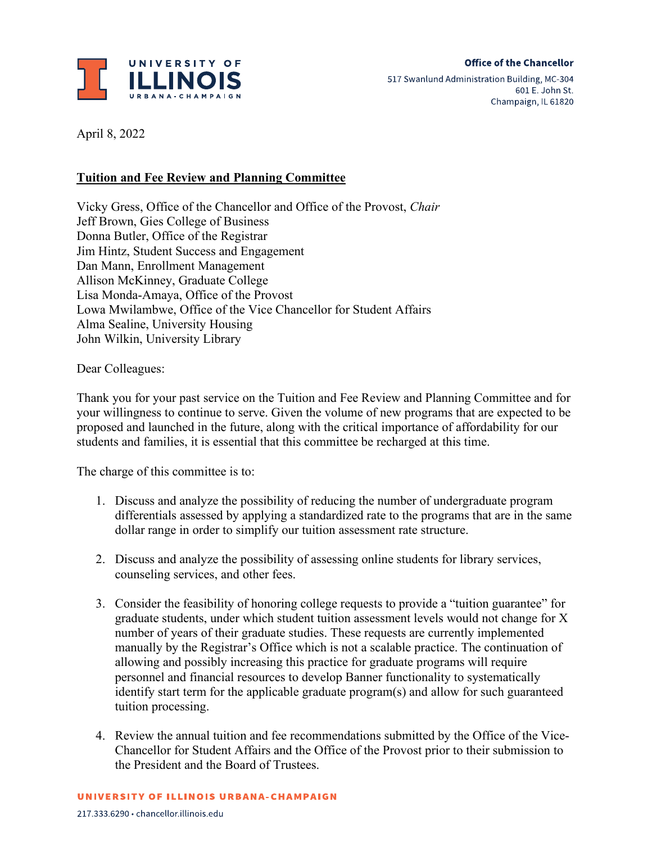

April 8, 2022

## **Tuition and Fee Review and Planning Committee**

Vicky Gress, Office of the Chancellor and Office of the Provost, *Chair*  Jeff Brown, Gies College of Business Donna Butler, Office of the Registrar Jim Hintz, Student Success and Engagement Dan Mann, Enrollment Management Allison McKinney, Graduate College Lisa Monda-Amaya, Office of the Provost Lowa Mwilambwe, Office of the Vice Chancellor for Student Affairs Alma Sealine, University Housing John Wilkin, University Library

Dear Colleagues:

Thank you for your past service on the Tuition and Fee Review and Planning Committee and for your willingness to continue to serve. Given the volume of new programs that are expected to be proposed and launched in the future, along with the critical importance of affordability for our students and families, it is essential that this committee be recharged at this time.

The charge of this committee is to:

- 1. Discuss and analyze the possibility of reducing the number of undergraduate program differentials assessed by applying a standardized rate to the programs that are in the same dollar range in order to simplify our tuition assessment rate structure.
- 2. Discuss and analyze the possibility of assessing online students for library services, counseling services, and other fees.
- 3. Consider the feasibility of honoring college requests to provide a "tuition guarantee" for graduate students, under which student tuition assessment levels would not change for X number of years of their graduate studies. These requests are currently implemented manually by the Registrar's Office which is not a scalable practice. The continuation of allowing and possibly increasing this practice for graduate programs will require personnel and financial resources to develop Banner functionality to systematically identify start term for the applicable graduate program(s) and allow for such guaranteed tuition processing.
- 4. Review the annual tuition and fee recommendations submitted by the Office of the Vice-Chancellor for Student Affairs and the Office of the Provost prior to their submission to the President and the Board of Trustees.